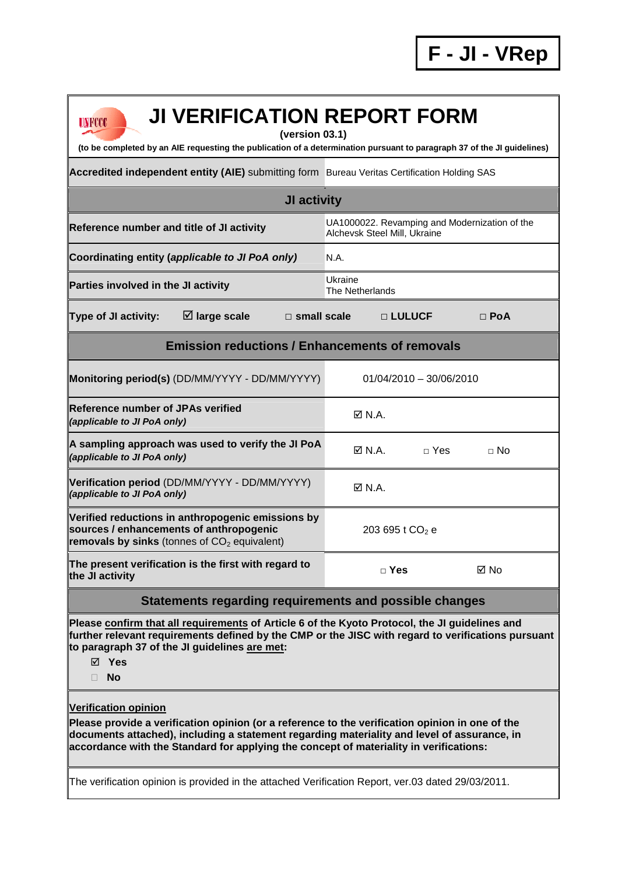| <b>JI VERIFICATION REPORT FORM</b><br>UNFCCC<br>(version 03.1)                                                                                                                                                                                                                                                          |                                                                               |              |             |  |  |
|-------------------------------------------------------------------------------------------------------------------------------------------------------------------------------------------------------------------------------------------------------------------------------------------------------------------------|-------------------------------------------------------------------------------|--------------|-------------|--|--|
| (to be completed by an AIE requesting the publication of a determination pursuant to paragraph 37 of the JI guidelines)                                                                                                                                                                                                 |                                                                               |              |             |  |  |
| Accredited independent entity (AIE) submitting form Bureau Veritas Certification Holding SAS                                                                                                                                                                                                                            |                                                                               |              |             |  |  |
| <b>JI activity</b>                                                                                                                                                                                                                                                                                                      |                                                                               |              |             |  |  |
| Reference number and title of JI activity                                                                                                                                                                                                                                                                               | UA1000022. Revamping and Modernization of the<br>Alchevsk Steel Mill, Ukraine |              |             |  |  |
| Coordinating entity (applicable to JI PoA only)                                                                                                                                                                                                                                                                         | N.A.                                                                          |              |             |  |  |
| Parties involved in the JI activity                                                                                                                                                                                                                                                                                     | Ukraine<br><b>The Netherlands</b>                                             |              |             |  |  |
| $\boxtimes$ large scale<br>Type of JI activity:<br>$\Box$ small scale                                                                                                                                                                                                                                                   |                                                                               | □ LULUCF     | $\Box$ PoA  |  |  |
| <b>Emission reductions / Enhancements of removals</b>                                                                                                                                                                                                                                                                   |                                                                               |              |             |  |  |
| Monitoring period(s) (DD/MM/YYYY - DD/MM/YYYY)                                                                                                                                                                                                                                                                          | $01/04/2010 - 30/06/2010$                                                     |              |             |  |  |
| <b>IReference number of JPAs verified</b><br>(applicable to JI PoA only)                                                                                                                                                                                                                                                | $\boxtimes$ N.A.                                                              |              |             |  |  |
| A sampling approach was used to verify the JI PoA<br>(applicable to JI PoA only)                                                                                                                                                                                                                                        | $\boxtimes$ N.A.                                                              | $\sqcap$ Yes | $\sqcap$ No |  |  |
| Verification period (DD/MM/YYYY - DD/MM/YYYY)<br>(applicable to JI PoA only)                                                                                                                                                                                                                                            | $\boxtimes$ N.A.                                                              |              |             |  |  |
| Verified reductions in anthropogenic emissions by<br>sources / enhancements of anthropogenic<br>removals by sinks (tonnes of $CO2$ equivalent)                                                                                                                                                                          | 203 695 t CO <sub>2</sub> e                                                   |              |             |  |  |
| The present verification is the first with regard to<br>the JI activity                                                                                                                                                                                                                                                 | $\Box$ Yes                                                                    |              | ⊠ No        |  |  |
| Statements regarding requirements and possible changes                                                                                                                                                                                                                                                                  |                                                                               |              |             |  |  |
| Please confirm that all requirements of Article 6 of the Kyoto Protocol, the JI guidelines and<br>further relevant requirements defined by the CMP or the JISC with regard to verifications pursuant<br>to paragraph 37 of the JI guidelines are met:<br>$\boxtimes$ Yes<br><b>No</b><br>ш                              |                                                                               |              |             |  |  |
| <b>Verification opinion</b><br>Please provide a verification opinion (or a reference to the verification opinion in one of the<br>documents attached), including a statement regarding materiality and level of assurance, in<br>accordance with the Standard for applying the concept of materiality in verifications: |                                                                               |              |             |  |  |
| The verification opinion is provided in the attached Verification Report, ver.03 dated 29/03/2011.                                                                                                                                                                                                                      |                                                                               |              |             |  |  |